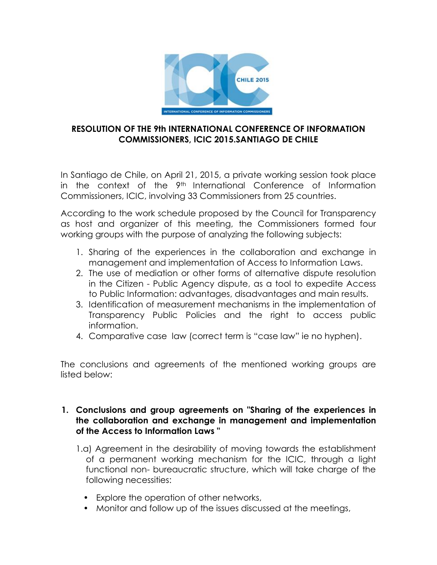

### **RESOLUTION OF THE 9th INTERNATIONAL CONFERENCE OF INFORMATION COMMISSIONERS, ICIC 2015.SANTIAGO DE CHILE**

In Santiago de Chile, on April 21, 2015, a private working session took place in the context of the 9th International Conference of Information Commissioners, ICIC, involving 33 Commissioners from 25 countries.

According to the work schedule proposed by the Council for Transparency as host and organizer of this meeting, the Commissioners formed four working groups with the purpose of analyzing the following subjects:

- 1. Sharing of the experiences in the collaboration and exchange in management and implementation of Access to Information Laws.
- 2. The use of mediation or other forms of alternative dispute resolution in the Citizen - Public Agency dispute, as a tool to expedite Access to Public Information: advantages, disadvantages and main results.
- 3. Identification of measurement mechanisms in the implementation of Transparency Public Policies and the right to access public information.
- 4. Comparative case law (correct term is "case law" ie no hyphen).

The conclusions and agreements of the mentioned working groups are listed below:

#### **1. Conclusions and group agreements on "Sharing of the experiences in the collaboration and exchange in management and implementation of the Access to Information Laws "**

- 1.a) Agreement in the desirability of moving towards the establishment of a permanent working mechanism for the ICIC, through a light functional non- bureaucratic structure, which will take charge of the following necessities:
	- Explore the operation of other networks,
	- Monitor and follow up of the issues discussed at the meetings,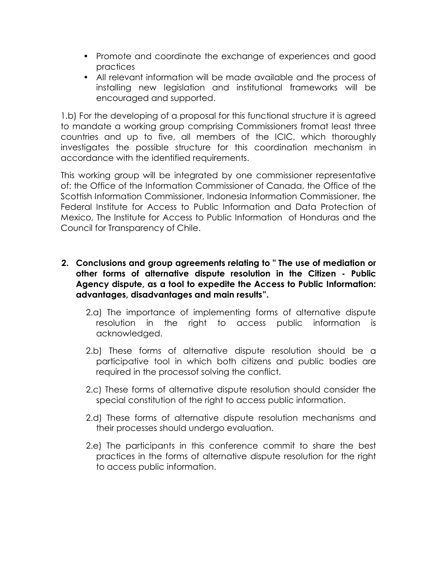- Promote and coordinate the exchange of experiences and good practices
- All relevant information will be made available and the process of installing new legislation and institutional frameworks will be encouraged and supported.

1.b) For the developing of a proposal for this functional structure it is agreed to mandate a working group comprising Commissioners fromat least three countries and up to five, all members of the ICIC, which thoroughly investigates the possible structure for this coordination mechanism in accordance with the identified requirements.

This working group will be integrated by one commissioner representative of: the Office of the Information Commissioner of Canada, the Office of the Scottish Information Commissioner, Indonesia Information Commissioner, the Federal Institute for Access to Public Information and Data Protection of Mexico, The Institute for Access to Public Information of Honduras and the Council for Transparency of Chile.

- **2. Conclusions and group agreements relating to " The use of mediation or other forms of alternative dispute resolution in the Citizen - Public Agency dispute, as a tool to expedite the Access to Public Information: advantages, disadvantages and main results".**
	- 2.a) The importance of implementing forms of alternative dispute resolution in the right to access public information is acknowledged.
	- 2.b) These forms of alternative dispute resolution should be a participative tool in which both citizens and public bodies are required in the processof solving the conflict.
	- 2.c) These forms of alternative dispute resolution should consider the special constitution of the right to access public information.
	- 2.d) These forms of alternative dispute resolution mechanisms and their processes should undergo evaluation.
	- 2.e) The participants in this conference commit to share the best practices in the forms of alternative dispute resolution for the right to access public information.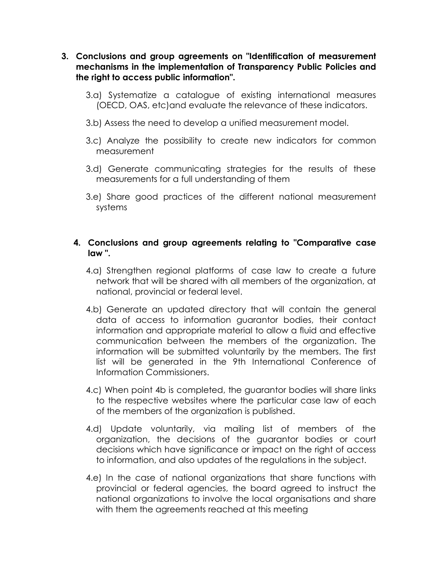- **3. Conclusions and group agreements on "Identification of measurement mechanisms in the implementation of Transparency Public Policies and the right to access public information".**
	- 3.a) Systematize a catalogue of existing international measures (OECD, OAS, etc)and evaluate the relevance of these indicators.
	- 3.b) Assess the need to develop a unified measurement model.
	- 3.c) Analyze the possibility to create new indicators for common measurement
	- 3.d) Generate communicating strategies for the results of these measurements for a full understanding of them
	- 3.e) Share good practices of the different national measurement systems

#### **4. Conclusions and group agreements relating to "Comparative case law ".**

- 4.a) Strengthen regional platforms of case law to create a future network that will be shared with all members of the organization, at national, provincial or federal level.
- 4.b) Generate an updated directory that will contain the general data of access to information guarantor bodies, their contact information and appropriate material to allow a fluid and effective communication between the members of the organization. The information will be submitted voluntarily by the members. The first list will be generated in the 9th International Conference of Information Commissioners.
- 4.c) When point 4b is completed, the guarantor bodies will share links to the respective websites where the particular case law of each of the members of the organization is published.
- 4.d) Update voluntarily, via mailing list of members of the organization, the decisions of the guarantor bodies or court decisions which have significance or impact on the right of access to information, and also updates of the regulations in the subject.
- 4.e) In the case of national organizations that share functions with provincial or federal agencies, the board agreed to instruct the national organizations to involve the local organisations and share with them the agreements reached at this meeting